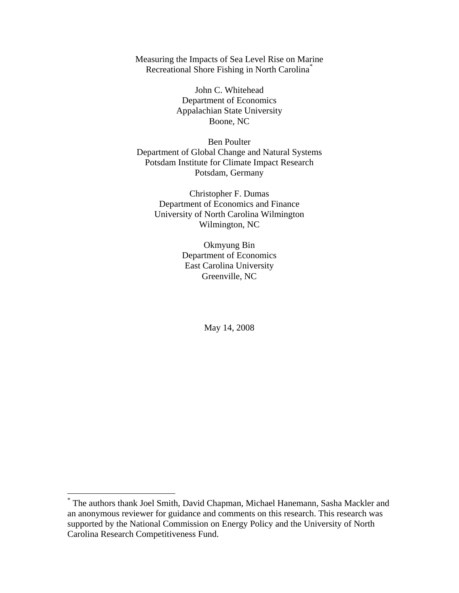Measuring the Impacts of Sea Level Rise on Marine Recreational Shore Fishing in North Carolina[\\*](#page-0-0)

> John C. Whitehead Department of Economics Appalachian State University Boone, NC

Ben Poulter Department of Global Change and Natural Systems Potsdam Institute for Climate Impact Research Potsdam, Germany

Christopher F. Dumas Department of Economics and Finance University of North Carolina Wilmington Wilmington, NC

> Okmyung Bin Department of Economics East Carolina University Greenville, NC

> > May 14, 2008

 $\overline{a}$ 

<span id="page-0-0"></span><sup>\*</sup> The authors thank Joel Smith, David Chapman, Michael Hanemann, Sasha Mackler and an anonymous reviewer for guidance and comments on this research. This research was supported by the National Commission on Energy Policy and the University of North Carolina Research Competitiveness Fund.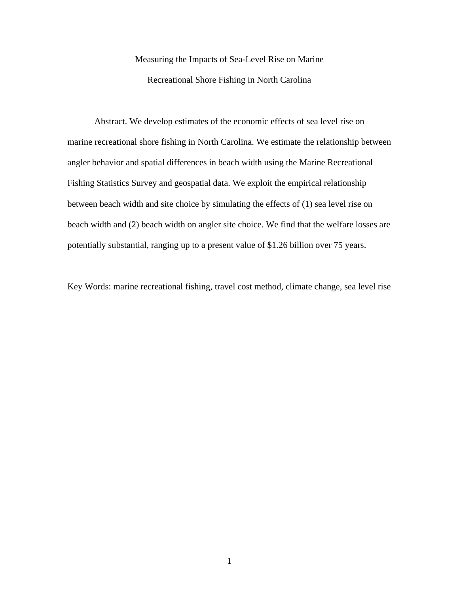# Measuring the Impacts of Sea-Level Rise on Marine Recreational Shore Fishing in North Carolina

Abstract. We develop estimates of the economic effects of sea level rise on marine recreational shore fishing in North Carolina. We estimate the relationship between angler behavior and spatial differences in beach width using the Marine Recreational Fishing Statistics Survey and geospatial data. We exploit the empirical relationship between beach width and site choice by simulating the effects of (1) sea level rise on beach width and (2) beach width on angler site choice. We find that the welfare losses are potentially substantial, ranging up to a present value of \$1.26 billion over 75 years.

Key Words: marine recreational fishing, travel cost method, climate change, sea level rise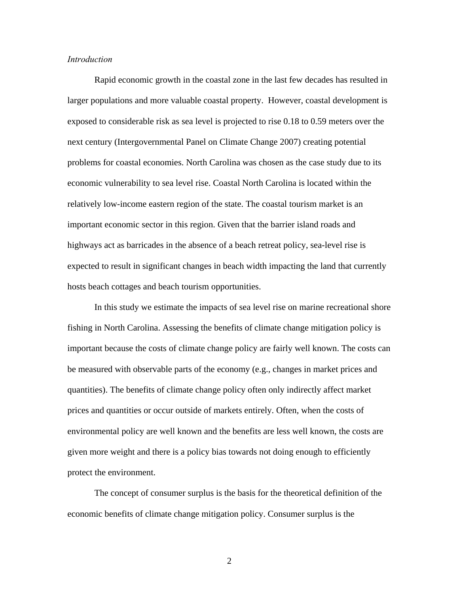# *Introduction*

Rapid economic growth in the coastal zone in the last few decades has resulted in larger populations and more valuable coastal property. However, coastal development is exposed to considerable risk as sea level is projected to rise 0.18 to 0.59 meters over the next century (Intergovernmental Panel on Climate Change 2007) creating potential problems for coastal economies. North Carolina was chosen as the case study due to its economic vulnerability to sea level rise. Coastal North Carolina is located within the relatively low-income eastern region of the state. The coastal tourism market is an important economic sector in this region. Given that the barrier island roads and highways act as barricades in the absence of a beach retreat policy, sea-level rise is expected to result in significant changes in beach width impacting the land that currently hosts beach cottages and beach tourism opportunities.

In this study we estimate the impacts of sea level rise on marine recreational shore fishing in North Carolina. Assessing the benefits of climate change mitigation policy is important because the costs of climate change policy are fairly well known. The costs can be measured with observable parts of the economy (e.g., changes in market prices and quantities). The benefits of climate change policy often only indirectly affect market prices and quantities or occur outside of markets entirely. Often, when the costs of environmental policy are well known and the benefits are less well known, the costs are given more weight and there is a policy bias towards not doing enough to efficiently protect the environment.

The concept of consumer surplus is the basis for the theoretical definition of the economic benefits of climate change mitigation policy. Consumer surplus is the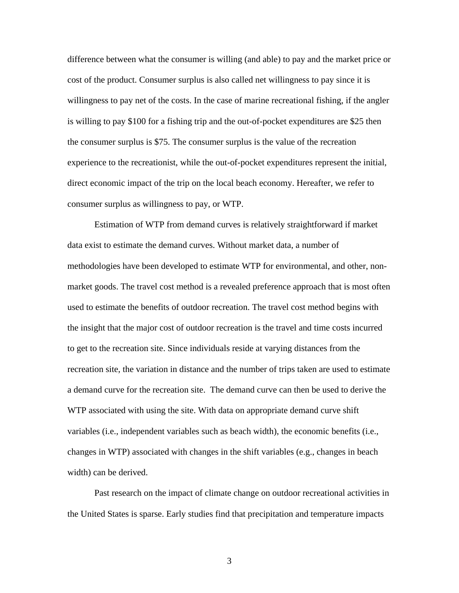difference between what the consumer is willing (and able) to pay and the market price or cost of the product. Consumer surplus is also called net willingness to pay since it is willingness to pay net of the costs. In the case of marine recreational fishing, if the angler is willing to pay \$100 for a fishing trip and the out-of-pocket expenditures are \$25 then the consumer surplus is \$75. The consumer surplus is the value of the recreation experience to the recreationist, while the out-of-pocket expenditures represent the initial, direct economic impact of the trip on the local beach economy. Hereafter, we refer to consumer surplus as willingness to pay, or WTP.

Estimation of WTP from demand curves is relatively straightforward if market data exist to estimate the demand curves. Without market data, a number of methodologies have been developed to estimate WTP for environmental, and other, nonmarket goods. The travel cost method is a revealed preference approach that is most often used to estimate the benefits of outdoor recreation. The travel cost method begins with the insight that the major cost of outdoor recreation is the travel and time costs incurred to get to the recreation site. Since individuals reside at varying distances from the recreation site, the variation in distance and the number of trips taken are used to estimate a demand curve for the recreation site. The demand curve can then be used to derive the WTP associated with using the site. With data on appropriate demand curve shift variables (i.e., independent variables such as beach width), the economic benefits (i.e., changes in WTP) associated with changes in the shift variables (e.g., changes in beach width) can be derived.

Past research on the impact of climate change on outdoor recreational activities in the United States is sparse. Early studies find that precipitation and temperature impacts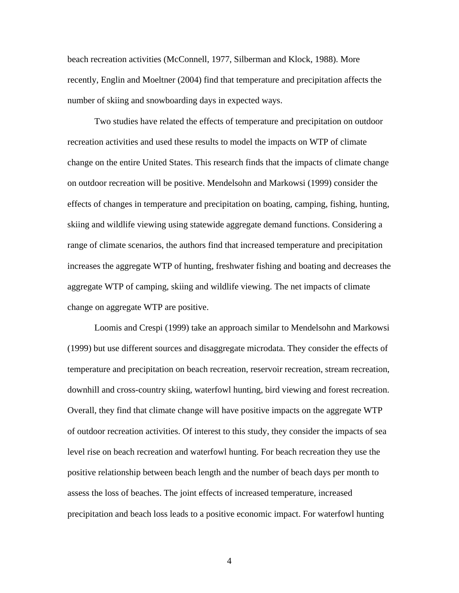beach recreation activities (McConnell, 1977, Silberman and Klock, 1988). More recently, Englin and Moeltner (2004) find that temperature and precipitation affects the number of skiing and snowboarding days in expected ways.

Two studies have related the effects of temperature and precipitation on outdoor recreation activities and used these results to model the impacts on WTP of climate change on the entire United States. This research finds that the impacts of climate change on outdoor recreation will be positive. Mendelsohn and Markowsi (1999) consider the effects of changes in temperature and precipitation on boating, camping, fishing, hunting, skiing and wildlife viewing using statewide aggregate demand functions. Considering a range of climate scenarios, the authors find that increased temperature and precipitation increases the aggregate WTP of hunting, freshwater fishing and boating and decreases the aggregate WTP of camping, skiing and wildlife viewing. The net impacts of climate change on aggregate WTP are positive.

Loomis and Crespi (1999) take an approach similar to Mendelsohn and Markowsi (1999) but use different sources and disaggregate microdata. They consider the effects of temperature and precipitation on beach recreation, reservoir recreation, stream recreation, downhill and cross-country skiing, waterfowl hunting, bird viewing and forest recreation. Overall, they find that climate change will have positive impacts on the aggregate WTP of outdoor recreation activities. Of interest to this study, they consider the impacts of sea level rise on beach recreation and waterfowl hunting. For beach recreation they use the positive relationship between beach length and the number of beach days per month to assess the loss of beaches. The joint effects of increased temperature, increased precipitation and beach loss leads to a positive economic impact. For waterfowl hunting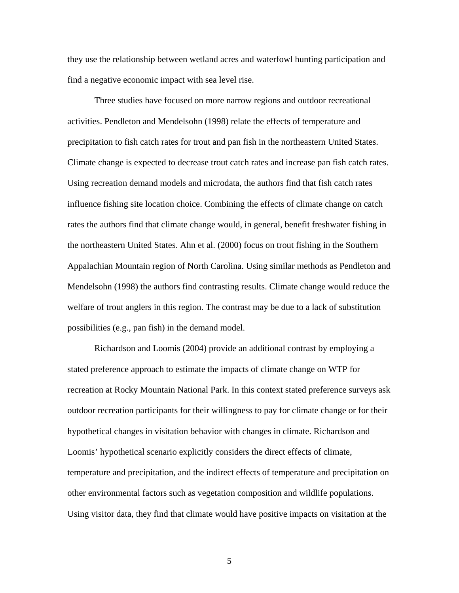they use the relationship between wetland acres and waterfowl hunting participation and find a negative economic impact with sea level rise.

Three studies have focused on more narrow regions and outdoor recreational activities. Pendleton and Mendelsohn (1998) relate the effects of temperature and precipitation to fish catch rates for trout and pan fish in the northeastern United States. Climate change is expected to decrease trout catch rates and increase pan fish catch rates. Using recreation demand models and microdata, the authors find that fish catch rates influence fishing site location choice. Combining the effects of climate change on catch rates the authors find that climate change would, in general, benefit freshwater fishing in the northeastern United States. Ahn et al. (2000) focus on trout fishing in the Southern Appalachian Mountain region of North Carolina. Using similar methods as Pendleton and Mendelsohn (1998) the authors find contrasting results. Climate change would reduce the welfare of trout anglers in this region. The contrast may be due to a lack of substitution possibilities (e.g., pan fish) in the demand model.

Richardson and Loomis (2004) provide an additional contrast by employing a stated preference approach to estimate the impacts of climate change on WTP for recreation at Rocky Mountain National Park. In this context stated preference surveys ask outdoor recreation participants for their willingness to pay for climate change or for their hypothetical changes in visitation behavior with changes in climate. Richardson and Loomis' hypothetical scenario explicitly considers the direct effects of climate, temperature and precipitation, and the indirect effects of temperature and precipitation on other environmental factors such as vegetation composition and wildlife populations. Using visitor data, they find that climate would have positive impacts on visitation at the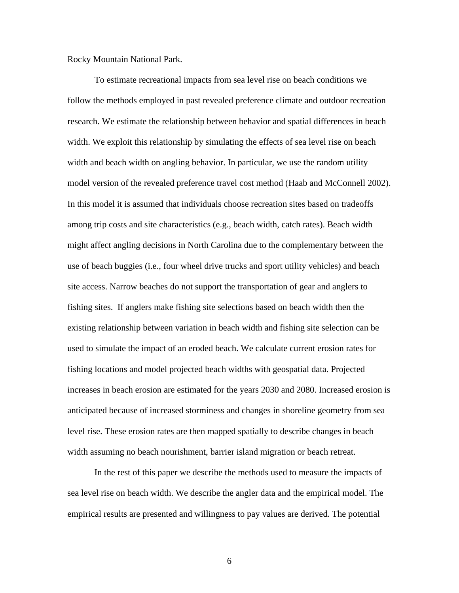Rocky Mountain National Park.

To estimate recreational impacts from sea level rise on beach conditions we follow the methods employed in past revealed preference climate and outdoor recreation research. We estimate the relationship between behavior and spatial differences in beach width. We exploit this relationship by simulating the effects of sea level rise on beach width and beach width on angling behavior. In particular, we use the random utility model version of the revealed preference travel cost method (Haab and McConnell 2002). In this model it is assumed that individuals choose recreation sites based on tradeoffs among trip costs and site characteristics (e.g., beach width, catch rates). Beach width might affect angling decisions in North Carolina due to the complementary between the use of beach buggies (i.e., four wheel drive trucks and sport utility vehicles) and beach site access. Narrow beaches do not support the transportation of gear and anglers to fishing sites. If anglers make fishing site selections based on beach width then the existing relationship between variation in beach width and fishing site selection can be used to simulate the impact of an eroded beach. We calculate current erosion rates for fishing locations and model projected beach widths with geospatial data. Projected increases in beach erosion are estimated for the years 2030 and 2080. Increased erosion is anticipated because of increased storminess and changes in shoreline geometry from sea level rise. These erosion rates are then mapped spatially to describe changes in beach width assuming no beach nourishment, barrier island migration or beach retreat.

In the rest of this paper we describe the methods used to measure the impacts of sea level rise on beach width. We describe the angler data and the empirical model. The empirical results are presented and willingness to pay values are derived. The potential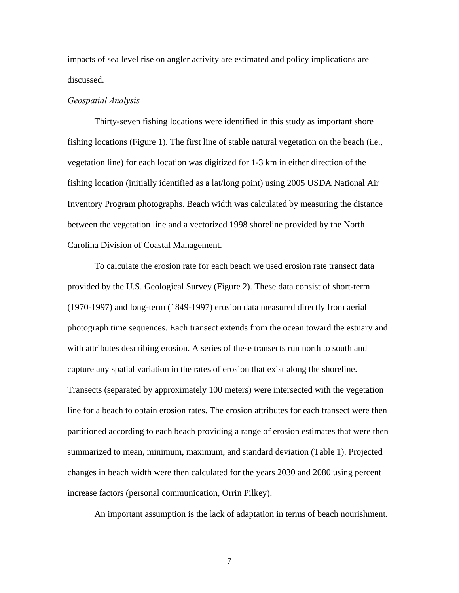impacts of sea level rise on angler activity are estimated and policy implications are discussed.

#### *Geospatial Analysis*

Thirty-seven fishing locations were identified in this study as important shore fishing locations (Figure 1). The first line of stable natural vegetation on the beach (i.e., vegetation line) for each location was digitized for 1-3 km in either direction of the fishing location (initially identified as a lat/long point) using 2005 USDA National Air Inventory Program photographs. Beach width was calculated by measuring the distance between the vegetation line and a vectorized 1998 shoreline provided by the North Carolina Division of Coastal Management.

To calculate the erosion rate for each beach we used erosion rate transect data provided by the U.S. Geological Survey (Figure 2). These data consist of short-term (1970-1997) and long-term (1849-1997) erosion data measured directly from aerial photograph time sequences. Each transect extends from the ocean toward the estuary and with attributes describing erosion. A series of these transects run north to south and capture any spatial variation in the rates of erosion that exist along the shoreline. Transects (separated by approximately 100 meters) were intersected with the vegetation line for a beach to obtain erosion rates. The erosion attributes for each transect were then partitioned according to each beach providing a range of erosion estimates that were then summarized to mean, minimum, maximum, and standard deviation (Table 1). Projected changes in beach width were then calculated for the years 2030 and 2080 using percent increase factors (personal communication, Orrin Pilkey).

An important assumption is the lack of adaptation in terms of beach nourishment.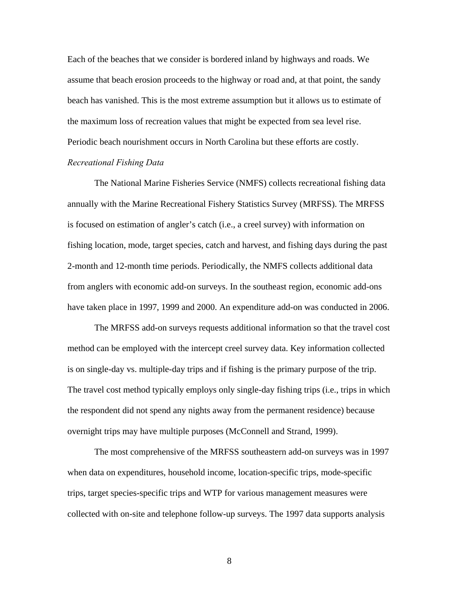Each of the beaches that we consider is bordered inland by highways and roads. We assume that beach erosion proceeds to the highway or road and, at that point, the sandy beach has vanished. This is the most extreme assumption but it allows us to estimate of the maximum loss of recreation values that might be expected from sea level rise. Periodic beach nourishment occurs in North Carolina but these efforts are costly. *Recreational Fishing Data* 

The National Marine Fisheries Service (NMFS) collects recreational fishing data annually with the Marine Recreational Fishery Statistics Survey (MRFSS). The MRFSS is focused on estimation of angler's catch (i.e., a creel survey) with information on fishing location, mode, target species, catch and harvest, and fishing days during the past 2-month and 12-month time periods. Periodically, the NMFS collects additional data from anglers with economic add-on surveys. In the southeast region, economic add-ons have taken place in 1997, 1999 and 2000. An expenditure add-on was conducted in 2006.

The MRFSS add-on surveys requests additional information so that the travel cost method can be employed with the intercept creel survey data. Key information collected is on single-day vs. multiple-day trips and if fishing is the primary purpose of the trip. The travel cost method typically employs only single-day fishing trips (i.e., trips in which the respondent did not spend any nights away from the permanent residence) because overnight trips may have multiple purposes (McConnell and Strand, 1999).

The most comprehensive of the MRFSS southeastern add-on surveys was in 1997 when data on expenditures, household income, location-specific trips, mode-specific trips, target species-specific trips and WTP for various management measures were collected with on-site and telephone follow-up surveys. The 1997 data supports analysis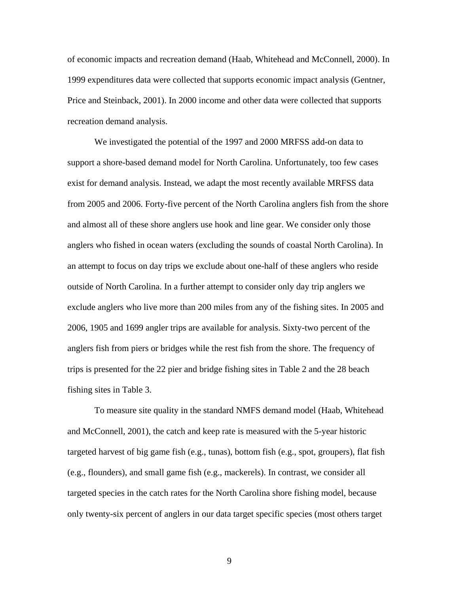of economic impacts and recreation demand (Haab, Whitehead and McConnell, 2000). In 1999 expenditures data were collected that supports economic impact analysis (Gentner, Price and Steinback, 2001). In 2000 income and other data were collected that supports recreation demand analysis.

We investigated the potential of the 1997 and 2000 MRFSS add-on data to support a shore-based demand model for North Carolina. Unfortunately, too few cases exist for demand analysis. Instead, we adapt the most recently available MRFSS data from 2005 and 2006. Forty-five percent of the North Carolina anglers fish from the shore and almost all of these shore anglers use hook and line gear. We consider only those anglers who fished in ocean waters (excluding the sounds of coastal North Carolina). In an attempt to focus on day trips we exclude about one-half of these anglers who reside outside of North Carolina. In a further attempt to consider only day trip anglers we exclude anglers who live more than 200 miles from any of the fishing sites. In 2005 and 2006, 1905 and 1699 angler trips are available for analysis. Sixty-two percent of the anglers fish from piers or bridges while the rest fish from the shore. The frequency of trips is presented for the 22 pier and bridge fishing sites in Table 2 and the 28 beach fishing sites in Table 3.

To measure site quality in the standard NMFS demand model (Haab, Whitehead and McConnell, 2001), the catch and keep rate is measured with the 5-year historic targeted harvest of big game fish (e.g., tunas), bottom fish (e.g., spot, groupers), flat fish (e.g., flounders), and small game fish (e.g., mackerels). In contrast, we consider all targeted species in the catch rates for the North Carolina shore fishing model, because only twenty-six percent of anglers in our data target specific species (most others target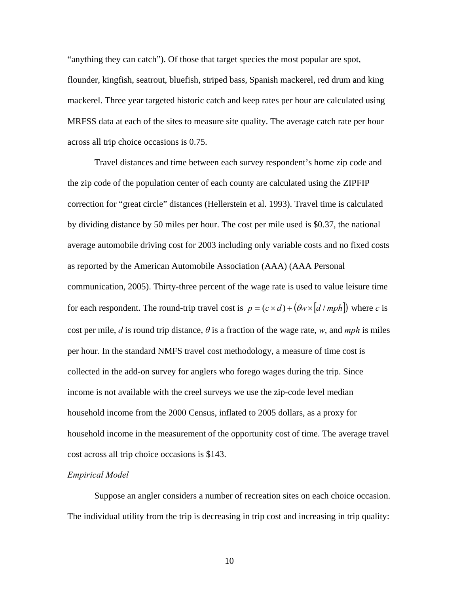"anything they can catch"). Of those that target species the most popular are spot, flounder, kingfish, seatrout, bluefish, striped bass, Spanish mackerel, red drum and king mackerel. Three year targeted historic catch and keep rates per hour are calculated using MRFSS data at each of the sites to measure site quality. The average catch rate per hour across all trip choice occasions is 0.75.

Travel distances and time between each survey respondent's home zip code and the zip code of the population center of each county are calculated using the ZIPFIP correction for "great circle" distances (Hellerstein et al. 1993). Travel time is calculated by dividing distance by 50 miles per hour. The cost per mile used is \$0.37, the national average automobile driving cost for 2003 including only variable costs and no fixed costs as reported by the American Automobile Association (AAA) (AAA Personal communication, 2005). Thirty-three percent of the wage rate is used to value leisure time for each respondent. The round-trip travel cost is  $p = (c \times d) + (\theta w \times [d / mph])$  where *c* is cost per mile, *d* is round trip distance,  $\theta$  is a fraction of the wage rate, *w*, and *mph* is miles per hour. In the standard NMFS travel cost methodology, a measure of time cost is collected in the add-on survey for anglers who forego wages during the trip. Since income is not available with the creel surveys we use the zip-code level median household income from the 2000 Census, inflated to 2005 dollars, as a proxy for household income in the measurement of the opportunity cost of time. The average travel cost across all trip choice occasions is \$143.

# *Empirical Model*

Suppose an angler considers a number of recreation sites on each choice occasion. The individual utility from the trip is decreasing in trip cost and increasing in trip quality: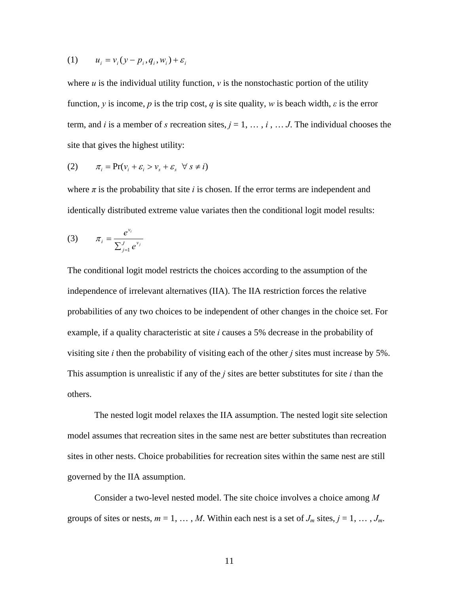$$
(1) \qquad u_i = v_i(y - p_i, q_i, w_i) + \varepsilon_i
$$

where  $u$  is the individual utility function,  $v$  is the nonstochastic portion of the utility function, *y* is income, *p* is the trip cost, *q* is site quality, *w* is beach width,  $\varepsilon$  is the error term, and *i* is a member of *s* recreation sites,  $j = 1, \ldots, i, \ldots, J$ . The individual chooses the site that gives the highest utility:

(2) 
$$
\pi_i = \Pr(v_i + \varepsilon_i > v_s + \varepsilon_s \quad \forall \ s \neq i)
$$

where  $\pi$  is the probability that site *i* is chosen. If the error terms are independent and identically distributed extreme value variates then the conditional logit model results:

(3) 
$$
\pi_i = \frac{e^{v_i}}{\sum_{j=1}^J e^{v_j}}
$$

The conditional logit model restricts the choices according to the assumption of the independence of irrelevant alternatives (IIA). The IIA restriction forces the relative probabilities of any two choices to be independent of other changes in the choice set. For example, if a quality characteristic at site *i* causes a 5% decrease in the probability of visiting site *i* then the probability of visiting each of the other *j* sites must increase by 5%. This assumption is unrealistic if any of the *j* sites are better substitutes for site *i* than the others.

The nested logit model relaxes the IIA assumption. The nested logit site selection model assumes that recreation sites in the same nest are better substitutes than recreation sites in other nests. Choice probabilities for recreation sites within the same nest are still governed by the IIA assumption.

Consider a two-level nested model. The site choice involves a choice among *M* groups of sites or nests,  $m = 1, \ldots, M$ . Within each nest is a set of  $J_m$  sites,  $j = 1, \ldots, J_m$ .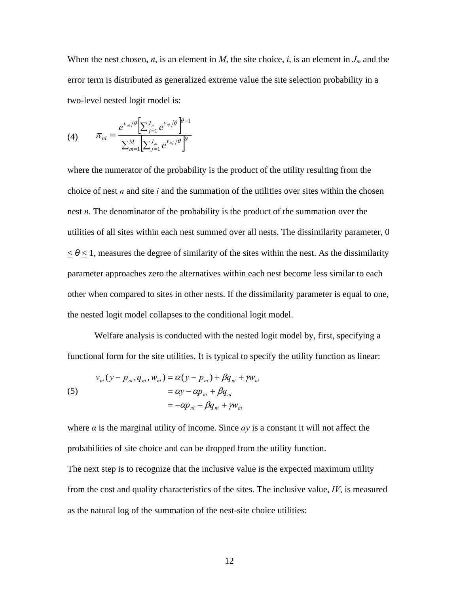When the nest chosen, *n*, is an element in *M*, the site choice, *i*, is an element in  $J_m$  and the error term is distributed as generalized extreme value the site selection probability in a two-level nested logit model is:

(4) 
$$
\pi_{ni} = \frac{e^{v_{ni}/\theta} \left[\sum_{j=1}^{J_n} e^{v_{nj}/\theta}\right]^{\theta-1}}{\sum_{m=1}^{M} \left[\sum_{j=1}^{J_m} e^{v_{mj}/\theta}\right]^{\theta}}
$$

where the numerator of the probability is the product of the utility resulting from the choice of nest *n* and site *i* and the summation of the utilities over sites within the chosen nest *n*. The denominator of the probability is the product of the summation over the utilities of all sites within each nest summed over all nests. The dissimilarity parameter, 0  $\leq \theta \leq 1$ , measures the degree of similarity of the sites within the nest. As the dissimilarity parameter approaches zero the alternatives within each nest become less similar to each other when compared to sites in other nests. If the dissimilarity parameter is equal to one, the nested logit model collapses to the conditional logit model.

Welfare analysis is conducted with the nested logit model by, first, specifying a functional form for the site utilities. It is typical to specify the utility function as linear:

(5)  
\n
$$
v_{ni}(y - p_{ni}, q_{ni}, w_{ni}) = \alpha(y - p_{ni}) + \beta q_{ni} + \gamma w_{ni}
$$
\n
$$
= \alpha y - \alpha p_{ni} + \beta q_{ni}
$$
\n
$$
= -\alpha p_{ni} + \beta q_{ni} + \gamma w_{ni}
$$

where  $\alpha$  is the marginal utility of income. Since  $\alpha y$  is a constant it will not affect the probabilities of site choice and can be dropped from the utility function.

The next step is to recognize that the inclusive value is the expected maximum utility from the cost and quality characteristics of the sites. The inclusive value, *IV*, is measured as the natural log of the summation of the nest-site choice utilities: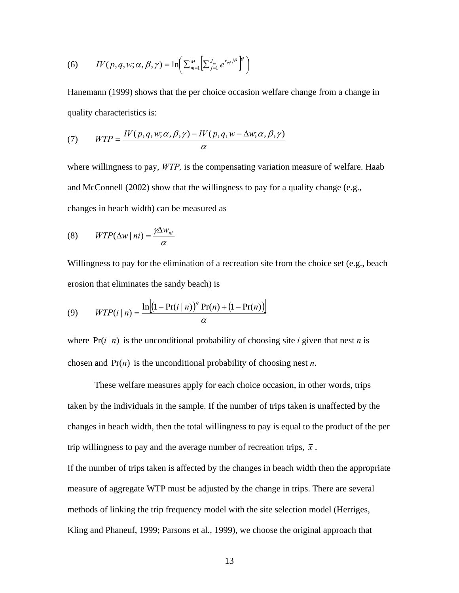(6) 
$$
IV(p,q,w;\alpha,\beta,\gamma) = \ln\left(\sum_{m=1}^{M} \left[\sum_{j=1}^{J_m} e^{v_{mj}/\theta}\right]^{\theta}\right)
$$

Hanemann (1999) shows that the per choice occasion welfare change from a change in quality characteristics is:

(7) 
$$
WTP = \frac{IV(p,q,w;\alpha,\beta,\gamma) - IV(p,q,w-\Delta w;\alpha,\beta,\gamma)}{\alpha}
$$

where willingness to pay, *WTP,* is the compensating variation measure of welfare. Haab and McConnell (2002) show that the willingness to pay for a quality change (e.g., changes in beach width) can be measured as

$$
(8) \qquad WTP(\Delta w \mid ni) = \frac{\gamma \Delta w_{ni}}{\alpha}
$$

Willingness to pay for the elimination of a recreation site from the choice set (e.g., beach erosion that eliminates the sandy beach) is

(9) 
$$
WTP(i | n) = \frac{\ln[(1 - Pr(i | n))^{o} Pr(n) + (1 - Pr(n))]}{\alpha}
$$

where  $Pr(i | n)$  is the unconditional probability of choosing site *i* given that nest *n* is chosen and  $Pr(n)$  is the unconditional probability of choosing nest *n*.

These welfare measures apply for each choice occasion, in other words, trips taken by the individuals in the sample. If the number of trips taken is unaffected by the changes in beach width, then the total willingness to pay is equal to the product of the per trip willingness to pay and the average number of recreation trips,  $\bar{x}$ .

If the number of trips taken is affected by the changes in beach width then the appropriate measure of aggregate WTP must be adjusted by the change in trips. There are several methods of linking the trip frequency model with the site selection model (Herriges, Kling and Phaneuf, 1999; Parsons et al., 1999), we choose the original approach that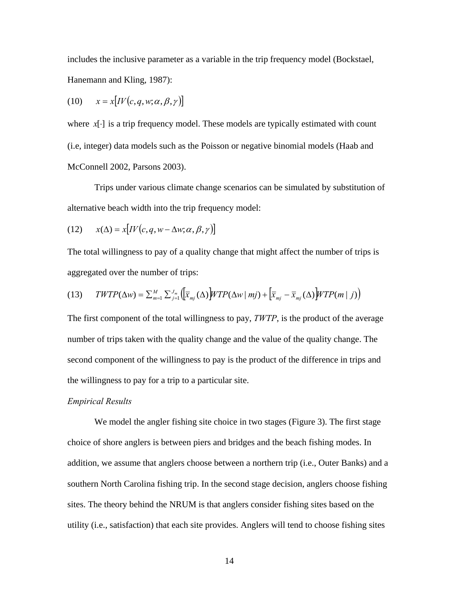includes the inclusive parameter as a variable in the trip frequency model (Bockstael, Hanemann and Kling, 1987):

$$
(10) \qquad x = x[IV(c, q, w; \alpha, \beta, \gamma)]
$$

where  $x[\cdot]$  is a trip frequency model. These models are typically estimated with count (i.e, integer) data models such as the Poisson or negative binomial models (Haab and McConnell 2002, Parsons 2003).

Trips under various climate change scenarios can be simulated by substitution of alternative beach width into the trip frequency model:

(12) 
$$
x(\Delta) = x[IV(c, q, w - \Delta w; \alpha, \beta, \gamma)]
$$

The total willingness to pay of a quality change that might affect the number of trips is aggregated over the number of trips:

(13) 
$$
TWTP(\Delta w) = \sum_{m=1}^{M} \sum_{j=1}^{J_m} \left( \overline{x}_{mj}(\Delta) \right) WTP(\Delta w \mid mj) + \left[ \overline{x}_{mj} - \overline{x}_{mj}(\Delta) \right] WTP(m \mid j) \right)
$$

The first component of the total willingness to pay, *TWTP*, is the product of the average number of trips taken with the quality change and the value of the quality change. The second component of the willingness to pay is the product of the difference in trips and the willingness to pay for a trip to a particular site.

## *Empirical Results*

We model the angler fishing site choice in two stages (Figure 3). The first stage choice of shore anglers is between piers and bridges and the beach fishing modes. In addition, we assume that anglers choose between a northern trip (i.e., Outer Banks) and a southern North Carolina fishing trip. In the second stage decision, anglers choose fishing sites. The theory behind the NRUM is that anglers consider fishing sites based on the utility (i.e., satisfaction) that each site provides. Anglers will tend to choose fishing sites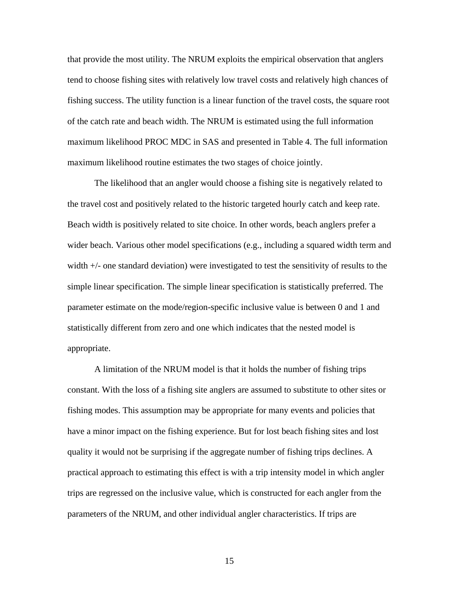that provide the most utility. The NRUM exploits the empirical observation that anglers tend to choose fishing sites with relatively low travel costs and relatively high chances of fishing success. The utility function is a linear function of the travel costs, the square root of the catch rate and beach width. The NRUM is estimated using the full information maximum likelihood PROC MDC in SAS and presented in Table 4. The full information maximum likelihood routine estimates the two stages of choice jointly.

The likelihood that an angler would choose a fishing site is negatively related to the travel cost and positively related to the historic targeted hourly catch and keep rate. Beach width is positively related to site choice. In other words, beach anglers prefer a wider beach. Various other model specifications (e.g., including a squared width term and width +/- one standard deviation) were investigated to test the sensitivity of results to the simple linear specification. The simple linear specification is statistically preferred. The parameter estimate on the mode/region-specific inclusive value is between 0 and 1 and statistically different from zero and one which indicates that the nested model is appropriate.

A limitation of the NRUM model is that it holds the number of fishing trips constant. With the loss of a fishing site anglers are assumed to substitute to other sites or fishing modes. This assumption may be appropriate for many events and policies that have a minor impact on the fishing experience. But for lost beach fishing sites and lost quality it would not be surprising if the aggregate number of fishing trips declines. A practical approach to estimating this effect is with a trip intensity model in which angler trips are regressed on the inclusive value, which is constructed for each angler from the parameters of the NRUM, and other individual angler characteristics. If trips are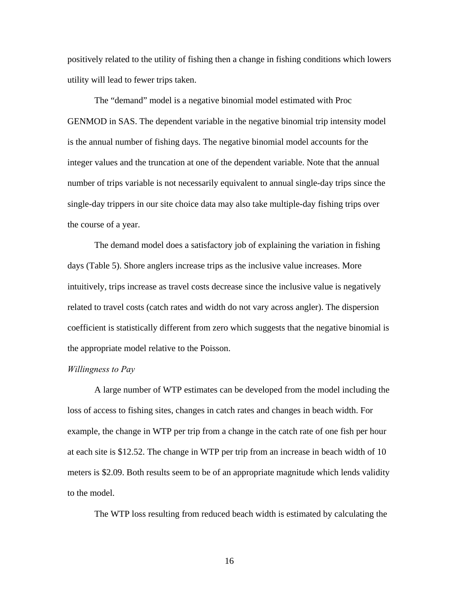positively related to the utility of fishing then a change in fishing conditions which lowers utility will lead to fewer trips taken.

The "demand" model is a negative binomial model estimated with Proc GENMOD in SAS. The dependent variable in the negative binomial trip intensity model is the annual number of fishing days. The negative binomial model accounts for the integer values and the truncation at one of the dependent variable. Note that the annual number of trips variable is not necessarily equivalent to annual single-day trips since the single-day trippers in our site choice data may also take multiple-day fishing trips over the course of a year.

The demand model does a satisfactory job of explaining the variation in fishing days (Table 5). Shore anglers increase trips as the inclusive value increases. More intuitively, trips increase as travel costs decrease since the inclusive value is negatively related to travel costs (catch rates and width do not vary across angler). The dispersion coefficient is statistically different from zero which suggests that the negative binomial is the appropriate model relative to the Poisson.

### *Willingness to Pay*

A large number of WTP estimates can be developed from the model including the loss of access to fishing sites, changes in catch rates and changes in beach width. For example, the change in WTP per trip from a change in the catch rate of one fish per hour at each site is \$12.52. The change in WTP per trip from an increase in beach width of 10 meters is \$2.09. Both results seem to be of an appropriate magnitude which lends validity to the model.

The WTP loss resulting from reduced beach width is estimated by calculating the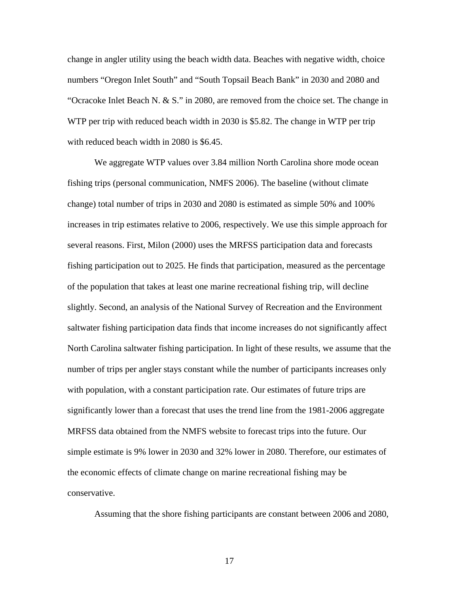change in angler utility using the beach width data. Beaches with negative width, choice numbers "Oregon Inlet South" and "South Topsail Beach Bank" in 2030 and 2080 and "Ocracoke Inlet Beach N. & S." in 2080, are removed from the choice set. The change in WTP per trip with reduced beach width in 2030 is \$5.82. The change in WTP per trip with reduced beach width in 2080 is \$6.45.

We aggregate WTP values over 3.84 million North Carolina shore mode ocean fishing trips (personal communication, NMFS 2006). The baseline (without climate change) total number of trips in 2030 and 2080 is estimated as simple 50% and 100% increases in trip estimates relative to 2006, respectively. We use this simple approach for several reasons. First, Milon (2000) uses the MRFSS participation data and forecasts fishing participation out to 2025. He finds that participation, measured as the percentage of the population that takes at least one marine recreational fishing trip, will decline slightly. Second, an analysis of the National Survey of Recreation and the Environment saltwater fishing participation data finds that income increases do not significantly affect North Carolina saltwater fishing participation. In light of these results, we assume that the number of trips per angler stays constant while the number of participants increases only with population, with a constant participation rate. Our estimates of future trips are significantly lower than a forecast that uses the trend line from the 1981-2006 aggregate MRFSS data obtained from the NMFS website to forecast trips into the future. Our simple estimate is 9% lower in 2030 and 32% lower in 2080. Therefore, our estimates of the economic effects of climate change on marine recreational fishing may be conservative.

Assuming that the shore fishing participants are constant between 2006 and 2080,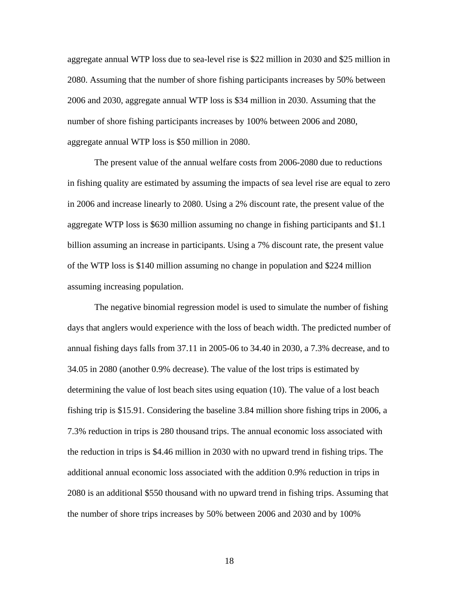aggregate annual WTP loss due to sea-level rise is \$22 million in 2030 and \$25 million in 2080. Assuming that the number of shore fishing participants increases by 50% between 2006 and 2030, aggregate annual WTP loss is \$34 million in 2030. Assuming that the number of shore fishing participants increases by 100% between 2006 and 2080, aggregate annual WTP loss is \$50 million in 2080.

The present value of the annual welfare costs from 2006-2080 due to reductions in fishing quality are estimated by assuming the impacts of sea level rise are equal to zero in 2006 and increase linearly to 2080. Using a 2% discount rate, the present value of the aggregate WTP loss is \$630 million assuming no change in fishing participants and \$1.1 billion assuming an increase in participants. Using a 7% discount rate, the present value of the WTP loss is \$140 million assuming no change in population and \$224 million assuming increasing population.

The negative binomial regression model is used to simulate the number of fishing days that anglers would experience with the loss of beach width. The predicted number of annual fishing days falls from 37.11 in 2005-06 to 34.40 in 2030, a 7.3% decrease, and to 34.05 in 2080 (another 0.9% decrease). The value of the lost trips is estimated by determining the value of lost beach sites using equation (10). The value of a lost beach fishing trip is \$15.91. Considering the baseline 3.84 million shore fishing trips in 2006, a 7.3% reduction in trips is 280 thousand trips. The annual economic loss associated with the reduction in trips is \$4.46 million in 2030 with no upward trend in fishing trips. The additional annual economic loss associated with the addition 0.9% reduction in trips in 2080 is an additional \$550 thousand with no upward trend in fishing trips. Assuming that the number of shore trips increases by 50% between 2006 and 2030 and by 100%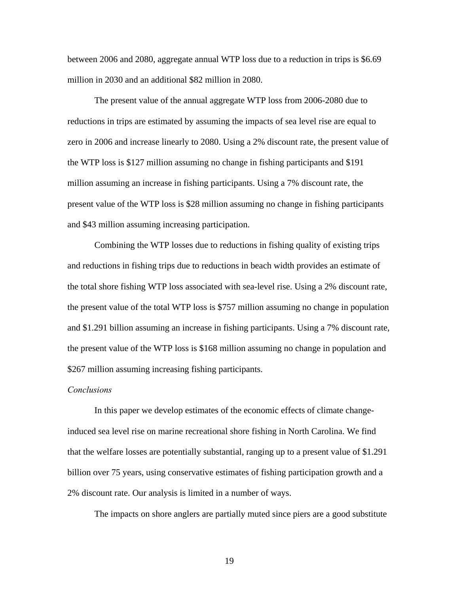between 2006 and 2080, aggregate annual WTP loss due to a reduction in trips is \$6.69 million in 2030 and an additional \$82 million in 2080.

The present value of the annual aggregate WTP loss from 2006-2080 due to reductions in trips are estimated by assuming the impacts of sea level rise are equal to zero in 2006 and increase linearly to 2080. Using a 2% discount rate, the present value of the WTP loss is \$127 million assuming no change in fishing participants and \$191 million assuming an increase in fishing participants. Using a 7% discount rate, the present value of the WTP loss is \$28 million assuming no change in fishing participants and \$43 million assuming increasing participation.

Combining the WTP losses due to reductions in fishing quality of existing trips and reductions in fishing trips due to reductions in beach width provides an estimate of the total shore fishing WTP loss associated with sea-level rise. Using a 2% discount rate, the present value of the total WTP loss is \$757 million assuming no change in population and \$1.291 billion assuming an increase in fishing participants. Using a 7% discount rate, the present value of the WTP loss is \$168 million assuming no change in population and \$267 million assuming increasing fishing participants.

# *Conclusions*

In this paper we develop estimates of the economic effects of climate changeinduced sea level rise on marine recreational shore fishing in North Carolina. We find that the welfare losses are potentially substantial, ranging up to a present value of \$1.291 billion over 75 years, using conservative estimates of fishing participation growth and a 2% discount rate. Our analysis is limited in a number of ways.

The impacts on shore anglers are partially muted since piers are a good substitute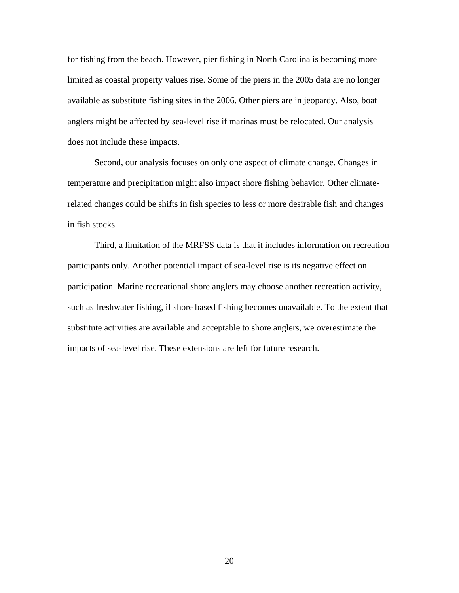for fishing from the beach. However, pier fishing in North Carolina is becoming more limited as coastal property values rise. Some of the piers in the 2005 data are no longer available as substitute fishing sites in the 2006. Other piers are in jeopardy. Also, boat anglers might be affected by sea-level rise if marinas must be relocated. Our analysis does not include these impacts.

Second, our analysis focuses on only one aspect of climate change. Changes in temperature and precipitation might also impact shore fishing behavior. Other climaterelated changes could be shifts in fish species to less or more desirable fish and changes in fish stocks.

Third, a limitation of the MRFSS data is that it includes information on recreation participants only. Another potential impact of sea-level rise is its negative effect on participation. Marine recreational shore anglers may choose another recreation activity, such as freshwater fishing, if shore based fishing becomes unavailable. To the extent that substitute activities are available and acceptable to shore anglers, we overestimate the impacts of sea-level rise. These extensions are left for future research.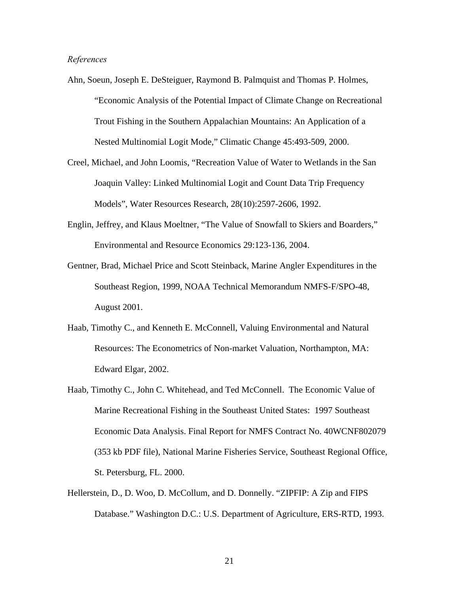## *References*

- Ahn, Soeun, Joseph E. DeSteiguer, Raymond B. Palmquist and Thomas P. Holmes, "Economic Analysis of the Potential Impact of Climate Change on Recreational Trout Fishing in the Southern Appalachian Mountains: An Application of a Nested Multinomial Logit Mode," Climatic Change 45:493-509, 2000.
- Creel, Michael, and John Loomis, "Recreation Value of Water to Wetlands in the San Joaquin Valley: Linked Multinomial Logit and Count Data Trip Frequency Models", Water Resources Research, 28(10):2597-2606, 1992.
- Englin, Jeffrey, and Klaus Moeltner, "The Value of Snowfall to Skiers and Boarders," Environmental and Resource Economics 29:123-136, 2004.
- Gentner, Brad, Michael Price and Scott Steinback, Marine Angler Expenditures in the Southeast Region, 1999, NOAA Technical Memorandum NMFS-F/SPO-48, August 2001.
- Haab, Timothy C., and Kenneth E. McConnell, Valuing Environmental and Natural Resources: The Econometrics of Non-market Valuation, Northampton, MA: Edward Elgar, 2002.
- Haab, Timothy C., John C. Whitehead, and Ted McConnell. The Economic Value of Marine Recreational Fishing in the Southeast United States: 1997 Southeast Economic Data Analysis. Final Report for NMFS Contract No. 40WCNF802079 (353 kb PDF file), National Marine Fisheries Service, Southeast Regional Office, St. Petersburg, FL. 2000.
- Hellerstein, D., D. Woo, D. McCollum, and D. Donnelly. "ZIPFIP: A Zip and FIPS Database." Washington D.C.: U.S. Department of Agriculture, ERS-RTD, 1993.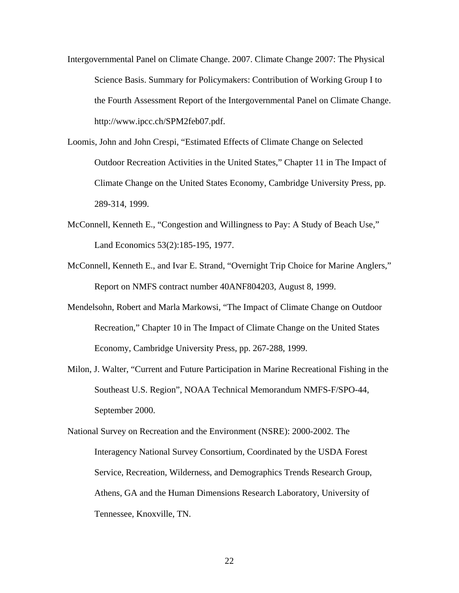- Intergovernmental Panel on Climate Change. 2007. Climate Change 2007: The Physical Science Basis. Summary for Policymakers: Contribution of Working Group I to the Fourth Assessment Report of the Intergovernmental Panel on Climate Change. http://www.ipcc.ch/SPM2feb07.pdf.
- Loomis, John and John Crespi, "Estimated Effects of Climate Change on Selected Outdoor Recreation Activities in the United States," Chapter 11 in The Impact of Climate Change on the United States Economy, Cambridge University Press, pp. 289-314, 1999.
- McConnell, Kenneth E., "Congestion and Willingness to Pay: A Study of Beach Use," Land Economics 53(2):185-195, 1977.
- McConnell, Kenneth E., and Ivar E. Strand, "Overnight Trip Choice for Marine Anglers," Report on NMFS contract number 40ANF804203, August 8, 1999.
- Mendelsohn, Robert and Marla Markowsi, "The Impact of Climate Change on Outdoor Recreation," Chapter 10 in The Impact of Climate Change on the United States Economy, Cambridge University Press, pp. 267-288, 1999.
- Milon, J. Walter, "Current and Future Participation in Marine Recreational Fishing in the Southeast U.S. Region", NOAA Technical Memorandum NMFS-F/SPO-44, September 2000.

National Survey on Recreation and the Environment (NSRE): 2000-2002. The Interagency National Survey Consortium, Coordinated by the USDA Forest Service, Recreation, Wilderness, and Demographics Trends Research Group, Athens, GA and the Human Dimensions Research Laboratory, University of Tennessee, Knoxville, TN.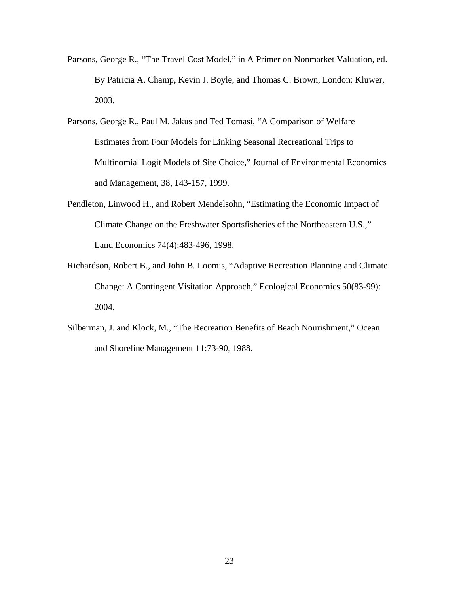- Parsons, George R., "The Travel Cost Model," in A Primer on Nonmarket Valuation, ed. By Patricia A. Champ, Kevin J. Boyle, and Thomas C. Brown, London: Kluwer, 2003.
- Parsons, George R., Paul M. Jakus and Ted Tomasi, "A Comparison of Welfare Estimates from Four Models for Linking Seasonal Recreational Trips to Multinomial Logit Models of Site Choice," Journal of Environmental Economics and Management, 38, 143-157, 1999.
- Pendleton, Linwood H., and Robert Mendelsohn, "Estimating the Economic Impact of Climate Change on the Freshwater Sportsfisheries of the Northeastern U.S.," Land Economics 74(4):483-496, 1998.
- Richardson, Robert B., and John B. Loomis, "Adaptive Recreation Planning and Climate Change: A Contingent Visitation Approach," Ecological Economics 50(83-99): 2004.
- Silberman, J. and Klock, M., "The Recreation Benefits of Beach Nourishment," Ocean and Shoreline Management 11:73-90, 1988.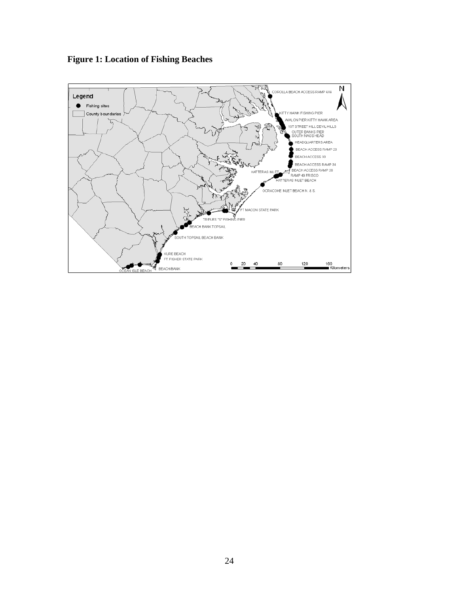**Figure 1: Location of Fishing Beaches** 

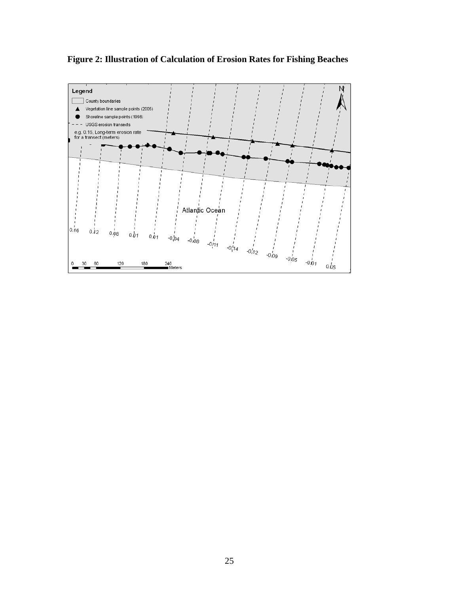

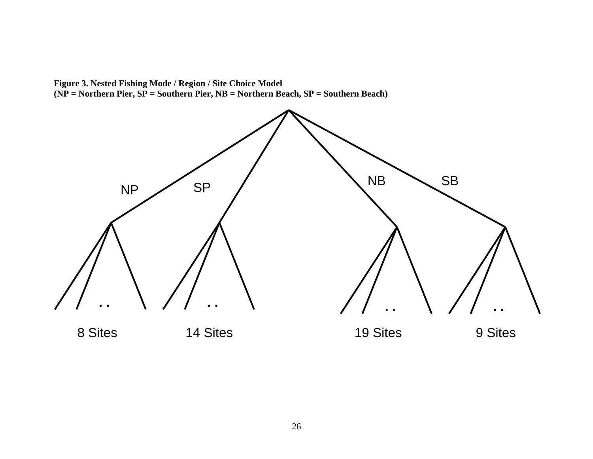**Figure 3. Nested Fishing Mode / Region / Site Choice Model (NP = Northern Pier, SP = Southern Pier, NB = Northern Beach, SP = Southern Beach)** 

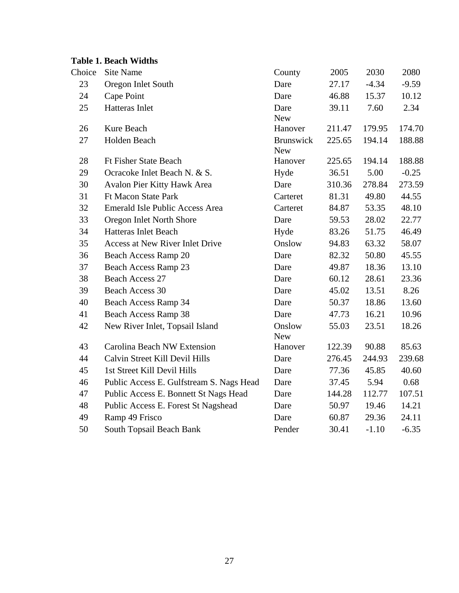|        | <b>Table 1. Beach Widths</b>             |                                |        |         |         |
|--------|------------------------------------------|--------------------------------|--------|---------|---------|
| Choice | <b>Site Name</b>                         | County                         | 2005   | 2030    | 2080    |
| 23     | Oregon Inlet South                       | Dare                           | 27.17  | $-4.34$ | $-9.59$ |
| 24     | Cape Point                               | Dare                           | 46.88  | 15.37   | 10.12   |
| 25     | Hatteras Inlet                           | Dare<br><b>New</b>             | 39.11  | 7.60    | 2.34    |
| 26     | Kure Beach                               | Hanover                        | 211.47 | 179.95  | 174.70  |
| 27     | Holden Beach                             | <b>Brunswick</b><br><b>New</b> | 225.65 | 194.14  | 188.88  |
| 28     | <b>Ft Fisher State Beach</b>             | Hanover                        | 225.65 | 194.14  | 188.88  |
| 29     | Ocracoke Inlet Beach N. & S.             | Hyde                           | 36.51  | 5.00    | $-0.25$ |
| 30     | Avalon Pier Kitty Hawk Area              | Dare                           | 310.36 | 278.84  | 273.59  |
| 31     | <b>Ft Macon State Park</b>               | Carteret                       | 81.31  | 49.80   | 44.55   |
| 32     | Emerald Isle Public Access Area          | Carteret                       | 84.87  | 53.35   | 48.10   |
| 33     | Oregon Inlet North Shore                 | Dare                           | 59.53  | 28.02   | 22.77   |
| 34     | <b>Hatteras Inlet Beach</b>              | Hyde                           | 83.26  | 51.75   | 46.49   |
| 35     | Access at New River Inlet Drive          | Onslow                         | 94.83  | 63.32   | 58.07   |
| 36     | Beach Access Ramp 20                     | Dare                           | 82.32  | 50.80   | 45.55   |
| 37     | Beach Access Ramp 23                     | Dare                           | 49.87  | 18.36   | 13.10   |
| 38     | <b>Beach Access 27</b>                   | Dare                           | 60.12  | 28.61   | 23.36   |
| 39     | Beach Access 30                          | Dare                           | 45.02  | 13.51   | 8.26    |
| 40     | Beach Access Ramp 34                     | Dare                           | 50.37  | 18.86   | 13.60   |
| 41     | <b>Beach Access Ramp 38</b>              | Dare                           | 47.73  | 16.21   | 10.96   |
| 42     | New River Inlet, Topsail Island          | Onslow<br><b>New</b>           | 55.03  | 23.51   | 18.26   |
| 43     | Carolina Beach NW Extension              | Hanover                        | 122.39 | 90.88   | 85.63   |
| 44     | Calvin Street Kill Devil Hills           | Dare                           | 276.45 | 244.93  | 239.68  |
| 45     | 1st Street Kill Devil Hills              | Dare                           | 77.36  | 45.85   | 40.60   |
| 46     | Public Access E. Gulfstream S. Nags Head | Dare                           | 37.45  | 5.94    | 0.68    |
| 47     | Public Access E. Bonnett St Nags Head    | Dare                           | 144.28 | 112.77  | 107.51  |
| 48     | Public Access E. Forest St Nagshead      | Dare                           | 50.97  | 19.46   | 14.21   |
| 49     | Ramp 49 Frisco                           | Dare                           | 60.87  | 29.36   | 24.11   |
| 50     | South Topsail Beach Bank                 | Pender                         | 30.41  | $-1.10$ | $-6.35$ |
|        |                                          |                                |        |         |         |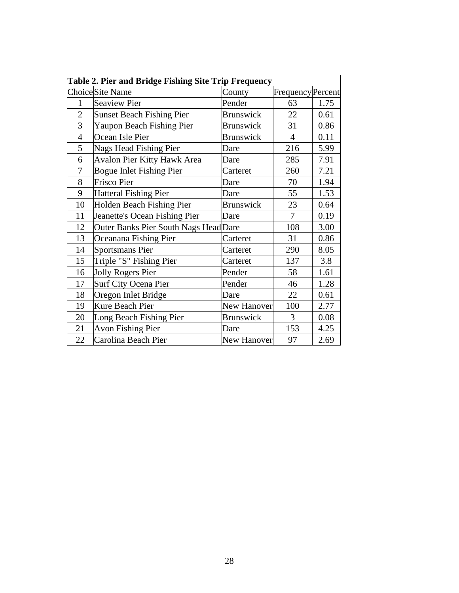| Table 2. Pier and Bridge Fishing Site Trip Frequency |                                       |                    |                          |      |
|------------------------------------------------------|---------------------------------------|--------------------|--------------------------|------|
|                                                      | Choice Site Name                      | County             | <b>Frequency</b> Percent |      |
| 1                                                    | <b>Seaview Pier</b>                   | Pender             | 63                       | 1.75 |
| $\overline{2}$                                       | <b>Sunset Beach Fishing Pier</b>      | Brunswick          | 22                       | 0.61 |
| 3                                                    | Yaupon Beach Fishing Pier             | Brunswick          | 31                       | 0.86 |
| $\overline{4}$                                       | Ocean Isle Pier                       | <b>Brunswick</b>   | $\overline{4}$           | 0.11 |
| 5                                                    | Nags Head Fishing Pier                | Dare               | 216                      | 5.99 |
| 6                                                    | <b>Avalon Pier Kitty Hawk Area</b>    | Dare               | 285                      | 7.91 |
| 7                                                    | <b>Bogue Inlet Fishing Pier</b>       | Carteret           | 260                      | 7.21 |
| 8                                                    | <b>Frisco Pier</b>                    | Dare               | 70                       | 1.94 |
| 9                                                    | <b>Hatteral Fishing Pier</b>          | Dare               | 55                       | 1.53 |
| 10                                                   | Holden Beach Fishing Pier             | <b>Brunswick</b>   | 23                       | 0.64 |
| 11                                                   | Jeanette's Ocean Fishing Pier         | Dare               | 7                        | 0.19 |
| 12                                                   | Outer Banks Pier South Nags Head Dare |                    | 108                      | 3.00 |
| 13                                                   | Oceanana Fishing Pier                 | Carteret           | 31                       | 0.86 |
| 14                                                   | <b>Sportsmans Pier</b>                | Carteret           | 290                      | 8.05 |
| 15                                                   | Triple "S" Fishing Pier               | Carteret           | 137                      | 3.8  |
| 16                                                   | Jolly Rogers Pier                     | Pender             | 58                       | 1.61 |
| 17                                                   | Surf City Ocena Pier                  | Pender             | 46                       | 1.28 |
| 18                                                   | Oregon Inlet Bridge                   | Dare               | 22                       | 0.61 |
| 19                                                   | <b>Kure Beach Pier</b>                | <b>New Hanover</b> | 100                      | 2.77 |
| 20                                                   | Long Beach Fishing Pier               | Brunswick          | 3                        | 0.08 |
| 21                                                   | <b>Avon Fishing Pier</b>              | Dare               | 153                      | 4.25 |
| 22                                                   | Carolina Beach Pier                   | New Hanover        | 97                       | 2.69 |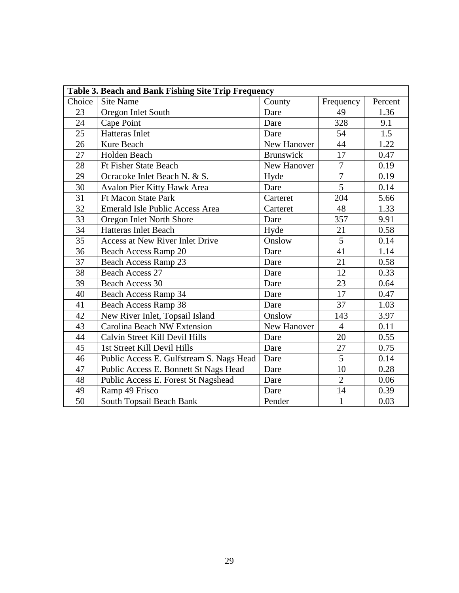| Table 3. Beach and Bank Fishing Site Trip Frequency |                                          |                  |                |         |
|-----------------------------------------------------|------------------------------------------|------------------|----------------|---------|
| Choice                                              | Site Name                                | County           | Frequency      | Percent |
| 23                                                  | Oregon Inlet South                       | Dare             | 49             | 1.36    |
| 24                                                  | Cape Point                               | Dare             | 328            | 9.1     |
| 25                                                  | <b>Hatteras Inlet</b>                    | Dare             | 54             | 1.5     |
| 26                                                  | Kure Beach                               | New Hanover      | 44             | 1.22    |
| 27                                                  | Holden Beach                             | <b>Brunswick</b> | 17             | 0.47    |
| 28                                                  | <b>Ft Fisher State Beach</b>             | New Hanover      | $\overline{7}$ | 0.19    |
| 29                                                  | Ocracoke Inlet Beach N. & S.             | Hyde             | $\overline{7}$ | 0.19    |
| 30                                                  | Avalon Pier Kitty Hawk Area              | Dare             | $\overline{5}$ | 0.14    |
| 31                                                  | <b>Ft Macon State Park</b>               | Carteret         | 204            | 5.66    |
| 32                                                  | <b>Emerald Isle Public Access Area</b>   | Carteret         | 48             | 1.33    |
| 33                                                  | Oregon Inlet North Shore                 | Dare             | 357            | 9.91    |
| 34                                                  | <b>Hatteras Inlet Beach</b>              | Hyde             | 21             | 0.58    |
| 35                                                  | Access at New River Inlet Drive          | Onslow           | 5              | 0.14    |
| 36                                                  | Beach Access Ramp 20                     | Dare             | 41             | 1.14    |
| 37                                                  | Beach Access Ramp 23                     | Dare             | 21             | 0.58    |
| 38                                                  | <b>Beach Access 27</b>                   | Dare             | 12             | 0.33    |
| 39                                                  | <b>Beach Access 30</b>                   | Dare             | 23             | 0.64    |
| 40                                                  | Beach Access Ramp 34                     | Dare             | 17             | 0.47    |
| 41                                                  | Beach Access Ramp 38                     | Dare             | 37             | 1.03    |
| 42                                                  | New River Inlet, Topsail Island          | Onslow           | 143            | 3.97    |
| 43                                                  | <b>Carolina Beach NW Extension</b>       | New Hanover      | $\overline{4}$ | 0.11    |
| 44                                                  | Calvin Street Kill Devil Hills           | Dare             | 20             | 0.55    |
| 45                                                  | 1st Street Kill Devil Hills              | Dare             | 27             | 0.75    |
| 46                                                  | Public Access E. Gulfstream S. Nags Head | Dare             | $\overline{5}$ | 0.14    |
| 47                                                  | Public Access E. Bonnett St Nags Head    | Dare             | 10             | 0.28    |
| 48                                                  | Public Access E. Forest St Nagshead      | Dare             | $\overline{2}$ | 0.06    |
| 49                                                  | Ramp 49 Frisco                           | Dare             | 14             | 0.39    |
| 50                                                  | South Topsail Beach Bank                 | Pender           | $\mathbf{1}$   | 0.03    |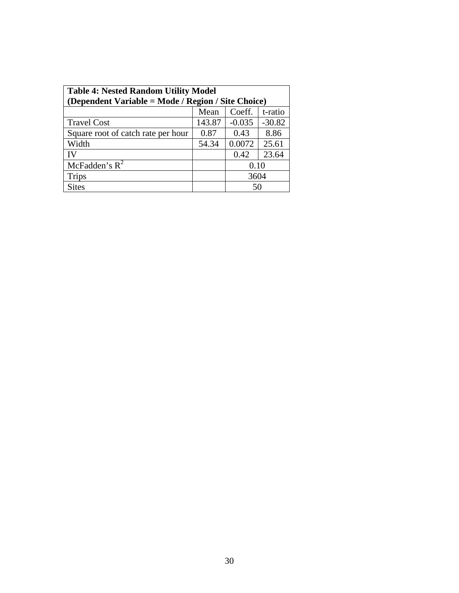| <b>Table 4: Nested Random Utility Model</b><br>(Dependent Variable = Mode / Region / Site Choice) |        |          |          |  |
|---------------------------------------------------------------------------------------------------|--------|----------|----------|--|
|                                                                                                   | Mean   | Coeff.   | t-ratio  |  |
| <b>Travel Cost</b>                                                                                | 143.87 | $-0.035$ | $-30.82$ |  |
| Square root of catch rate per hour                                                                | 0.87   | 0.43     | 8.86     |  |
| Width                                                                                             | 54.34  | 0.0072   | 25.61    |  |
| IV                                                                                                |        | 0.42     | 23.64    |  |
| McFadden's $R^2$                                                                                  |        | 0.10     |          |  |
| <b>Trips</b>                                                                                      |        | 3604     |          |  |
| <b>Sites</b>                                                                                      |        | 50       |          |  |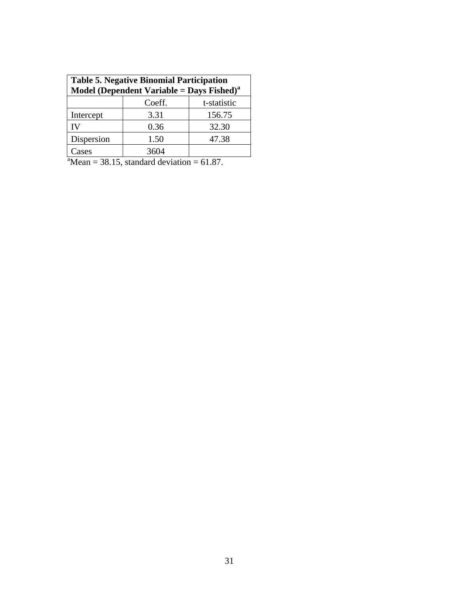| <b>Table 5. Negative Binomial Participation</b><br>Model (Dependent Variable = Days Fished) <sup>a</sup> |        |             |  |
|----------------------------------------------------------------------------------------------------------|--------|-------------|--|
|                                                                                                          | Coeff. | t-statistic |  |
| Intercept                                                                                                | 3.31   | 156.75      |  |
| IV                                                                                                       | 0.36   | 32.30       |  |
| Dispersion                                                                                               | 1.50   | 47.38       |  |
| Cases                                                                                                    | 3604   |             |  |
| $^{\circ}$ Mean = 38.15, standard deviation = 61.87.                                                     |        |             |  |